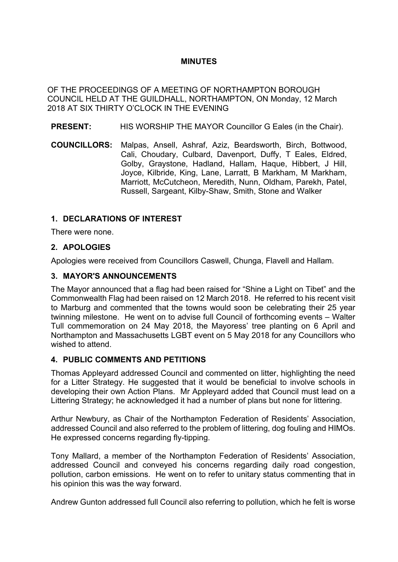# **MINUTES**

OF THE PROCEEDINGS OF A MEETING OF NORTHAMPTON BOROUGH COUNCIL HELD AT THE GUILDHALL, NORTHAMPTON, ON Monday, 12 March 2018 AT SIX THIRTY O'CLOCK IN THE EVENING

- **PRESENT:** HIS WORSHIP THE MAYOR Councillor G Eales (in the Chair).
- **COUNCILLORS:** Malpas, Ansell, Ashraf, Aziz, Beardsworth, Birch, Bottwood, Cali, Choudary, Culbard, Davenport, Duffy, T Eales, Eldred, Golby, Graystone, Hadland, Hallam, Haque, Hibbert, J Hill, Joyce, Kilbride, King, Lane, Larratt, B Markham, M Markham, Marriott, McCutcheon, Meredith, Nunn, Oldham, Parekh, Patel, Russell, Sargeant, Kilby-Shaw, Smith, Stone and Walker

## **1. DECLARATIONS OF INTEREST**

There were none.

## **2. APOLOGIES**

Apologies were received from Councillors Caswell, Chunga, Flavell and Hallam.

#### **3. MAYOR'S ANNOUNCEMENTS**

The Mayor announced that a flag had been raised for "Shine a Light on Tibet" and the Commonwealth Flag had been raised on 12 March 2018. He referred to his recent visit to Marburg and commented that the towns would soon be celebrating their 25 year twinning milestone. He went on to advise full Council of forthcoming events – Walter Tull commemoration on 24 May 2018, the Mayoress' tree planting on 6 April and Northampton and Massachusetts LGBT event on 5 May 2018 for any Councillors who wished to attend.

#### **4. PUBLIC COMMENTS AND PETITIONS**

Thomas Appleyard addressed Council and commented on litter, highlighting the need for a Litter Strategy. He suggested that it would be beneficial to involve schools in developing their own Action Plans. Mr Appleyard added that Council must lead on a Littering Strategy; he acknowledged it had a number of plans but none for littering.

Arthur Newbury, as Chair of the Northampton Federation of Residents' Association, addressed Council and also referred to the problem of littering, dog fouling and HIMOs. He expressed concerns regarding fly-tipping.

Tony Mallard, a member of the Northampton Federation of Residents' Association, addressed Council and conveyed his concerns regarding daily road congestion, pollution, carbon emissions. He went on to refer to unitary status commenting that in his opinion this was the way forward.

Andrew Gunton addressed full Council also referring to pollution, which he felt is worse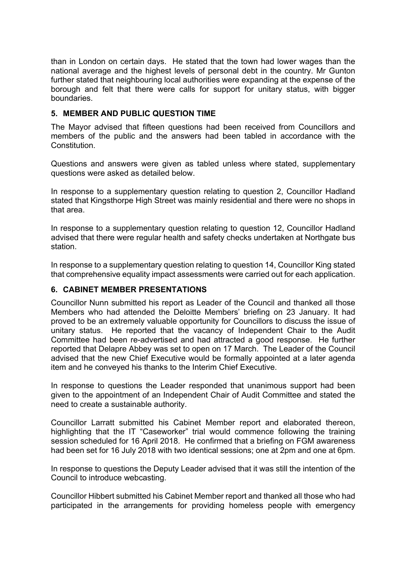than in London on certain days. He stated that the town had lower wages than the national average and the highest levels of personal debt in the country. Mr Gunton further stated that neighbouring local authorities were expanding at the expense of the borough and felt that there were calls for support for unitary status, with bigger boundaries.

### **5. MEMBER AND PUBLIC QUESTION TIME**

The Mayor advised that fifteen questions had been received from Councillors and members of the public and the answers had been tabled in accordance with the Constitution.

Questions and answers were given as tabled unless where stated, supplementary questions were asked as detailed below.

In response to a supplementary question relating to question 2, Councillor Hadland stated that Kingsthorpe High Street was mainly residential and there were no shops in that area.

In response to a supplementary question relating to question 12, Councillor Hadland advised that there were regular health and safety checks undertaken at Northgate bus station.

In response to a supplementary question relating to question 14, Councillor King stated that comprehensive equality impact assessments were carried out for each application.

#### **6. CABINET MEMBER PRESENTATIONS**

Councillor Nunn submitted his report as Leader of the Council and thanked all those Members who had attended the Deloitte Members' briefing on 23 January. It had proved to be an extremely valuable opportunity for Councillors to discuss the issue of unitary status. He reported that the vacancy of Independent Chair to the Audit Committee had been re-advertised and had attracted a good response. He further reported that Delapre Abbey was set to open on 17 March. The Leader of the Council advised that the new Chief Executive would be formally appointed at a later agenda item and he conveyed his thanks to the Interim Chief Executive.

In response to questions the Leader responded that unanimous support had been given to the appointment of an Independent Chair of Audit Committee and stated the need to create a sustainable authority.

Councillor Larratt submitted his Cabinet Member report and elaborated thereon, highlighting that the IT "Caseworker" trial would commence following the training session scheduled for 16 April 2018. He confirmed that a briefing on FGM awareness had been set for 16 July 2018 with two identical sessions; one at 2pm and one at 6pm.

In response to questions the Deputy Leader advised that it was still the intention of the Council to introduce webcasting.

Councillor Hibbert submitted his Cabinet Member report and thanked all those who had participated in the arrangements for providing homeless people with emergency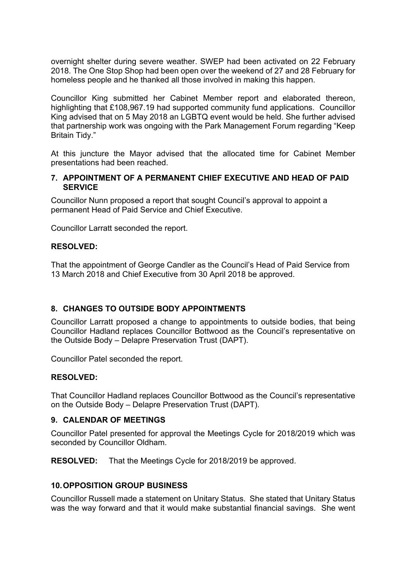overnight shelter during severe weather. SWEP had been activated on 22 February 2018. The One Stop Shop had been open over the weekend of 27 and 28 February for homeless people and he thanked all those involved in making this happen.

Councillor King submitted her Cabinet Member report and elaborated thereon, highlighting that £108,967.19 had supported community fund applications. Councillor King advised that on 5 May 2018 an LGBTQ event would be held. She further advised that partnership work was ongoing with the Park Management Forum regarding "Keep Britain Tidy."

At this juncture the Mayor advised that the allocated time for Cabinet Member presentations had been reached.

#### **7. APPOINTMENT OF A PERMANENT CHIEF EXECUTIVE AND HEAD OF PAID SERVICE**

Councillor Nunn proposed a report that sought Council's approval to appoint a permanent Head of Paid Service and Chief Executive.

Councillor Larratt seconded the report.

#### **RESOLVED:**

That the appointment of George Candler as the Council's Head of Paid Service from 13 March 2018 and Chief Executive from 30 April 2018 be approved.

#### **8. CHANGES TO OUTSIDE BODY APPOINTMENTS**

Councillor Larratt proposed a change to appointments to outside bodies, that being Councillor Hadland replaces Councillor Bottwood as the Council's representative on the Outside Body – Delapre Preservation Trust (DAPT).

Councillor Patel seconded the report.

#### **RESOLVED:**

That Councillor Hadland replaces Councillor Bottwood as the Council's representative on the Outside Body – Delapre Preservation Trust (DAPT).

#### **9. CALENDAR OF MEETINGS**

Councillor Patel presented for approval the Meetings Cycle for 2018/2019 which was seconded by Councillor Oldham.

**RESOLVED:** That the Meetings Cycle for 2018/2019 be approved.

#### **10.OPPOSITION GROUP BUSINESS**

Councillor Russell made a statement on Unitary Status. She stated that Unitary Status was the way forward and that it would make substantial financial savings. She went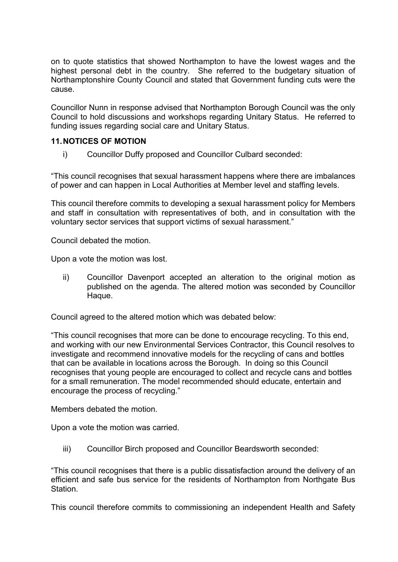on to quote statistics that showed Northampton to have the lowest wages and the highest personal debt in the country. She referred to the budgetary situation of Northamptonshire County Council and stated that Government funding cuts were the cause.

Councillor Nunn in response advised that Northampton Borough Council was the only Council to hold discussions and workshops regarding Unitary Status. He referred to funding issues regarding social care and Unitary Status.

## **11.NOTICES OF MOTION**

i) Councillor Duffy proposed and Councillor Culbard seconded:

"This council recognises that sexual harassment happens where there are imbalances of power and can happen in Local Authorities at Member level and staffing levels.

This council therefore commits to developing a sexual harassment policy for Members and staff in consultation with representatives of both, and in consultation with the voluntary sector services that support victims of sexual harassment."

Council debated the motion.

Upon a vote the motion was lost.

ii) Councillor Davenport accepted an alteration to the original motion as published on the agenda. The altered motion was seconded by Councillor Haque.

Council agreed to the altered motion which was debated below:

"This council recognises that more can be done to encourage recycling. To this end, and working with our new Environmental Services Contractor, this Council resolves to investigate and recommend innovative models for the recycling of cans and bottles that can be available in locations across the Borough. In doing so this Council recognises that young people are encouraged to collect and recycle cans and bottles for a small remuneration. The model recommended should educate, entertain and encourage the process of recycling."

Members debated the motion.

Upon a vote the motion was carried.

iii) Councillor Birch proposed and Councillor Beardsworth seconded:

"This council recognises that there is a public dissatisfaction around the delivery of an efficient and safe bus service for the residents of Northampton from Northgate Bus Station.

This council therefore commits to commissioning an independent Health and Safety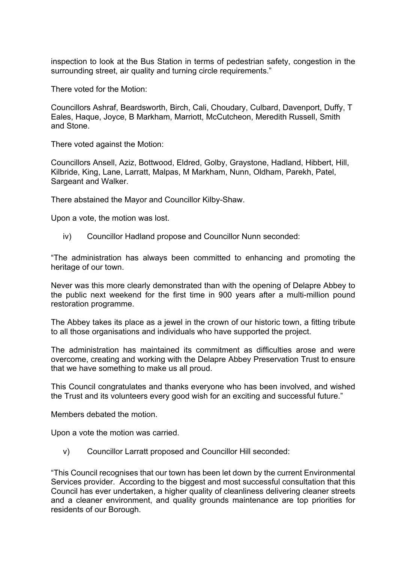inspection to look at the Bus Station in terms of pedestrian safety, congestion in the surrounding street, air quality and turning circle requirements."

There voted for the Motion:

Councillors Ashraf, Beardsworth, Birch, Cali, Choudary, Culbard, Davenport, Duffy, T Eales, Haque, Joyce, B Markham, Marriott, McCutcheon, Meredith Russell, Smith and Stone.

There voted against the Motion:

Councillors Ansell, Aziz, Bottwood, Eldred, Golby, Graystone, Hadland, Hibbert, Hill, Kilbride, King, Lane, Larratt, Malpas, M Markham, Nunn, Oldham, Parekh, Patel, Sargeant and Walker.

There abstained the Mayor and Councillor Kilby-Shaw.

Upon a vote, the motion was lost.

iv) Councillor Hadland propose and Councillor Nunn seconded:

"The administration has always been committed to enhancing and promoting the heritage of our town.

Never was this more clearly demonstrated than with the opening of Delapre Abbey to the public next weekend for the first time in 900 years after a multi-million pound restoration programme.

The Abbey takes its place as a jewel in the crown of our historic town, a fitting tribute to all those organisations and individuals who have supported the project.

The administration has maintained its commitment as difficulties arose and were overcome, creating and working with the Delapre Abbey Preservation Trust to ensure that we have something to make us all proud.

This Council congratulates and thanks everyone who has been involved, and wished the Trust and its volunteers every good wish for an exciting and successful future."

Members debated the motion.

Upon a vote the motion was carried.

v) Councillor Larratt proposed and Councillor Hill seconded:

"This Council recognises that our town has been let down by the current Environmental Services provider. According to the biggest and most successful consultation that this Council has ever undertaken, a higher quality of cleanliness delivering cleaner streets and a cleaner environment, and quality grounds maintenance are top priorities for residents of our Borough.